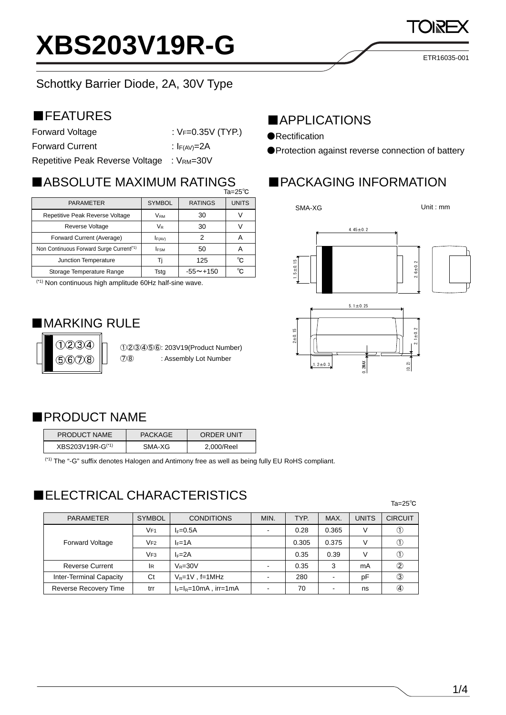# **XBS203V19R-G**

### Schottky Barrier Diode, 2A, 30V Type

### ■FEATURES

| Forward Voltage                 | : $V_F = 0.35V$ (TYP.)     |  |  |
|---------------------------------|----------------------------|--|--|
| <b>Forward Current</b>          | : $I_{F(AV)}=2A$           |  |  |
| Ranatitiva Paak Ravarea Voltaga | $\cdot$ \/p $\cdot$ - 30\/ |  |  |

Repetitive Peak Reverse Voltage : VRM=30V

### ■ABSOLUTE MAXIMUM RATINGS

|                                                      | Ta=25 $^{\circ}$ C              |                 |              |
|------------------------------------------------------|---------------------------------|-----------------|--------------|
| <b>PARAMETER</b>                                     | <b>RATINGS</b><br><b>SYMBOL</b> |                 | <b>UNITS</b> |
| Repetitive Peak Reverse Voltage                      | <b>VRM</b>                      | 30              |              |
| Reverse Voltage                                      | VR                              | 30              |              |
| Forward Current (Average)                            | F(AV)                           | 2               | А            |
| Non Continuous Forward Surge Current <sup>(*1)</sup> | <b>IFSM</b>                     | 50              | А            |
| Junction Temperature                                 |                                 | 125             | °C           |
| Storage Temperature Range                            | Tsta                            | $-55 \sim +150$ | °C           |

(\*1) Non continuous high amplitude 60Hz half-sine wave.

### ■**MARKING RULE**



①②③④⑤⑥: 203V19(Product Number) ⑦⑧ : Assembly Lot Number

### ■APPLICATIONS

●Rectification

1.5±0.15

●Protection against reverse connection of battery

### ■PACKAGING INFORMATION







### ■PRODUCT NAME

| <b>PRODUCT NAME</b> | PACKAGE | <b>ORDER UNIT</b> |
|---------------------|---------|-------------------|
| XBS203V19R-G(*1)    | SMA-XG  | 2.000/Reel        |

(\*1) The "-G" suffix denotes Halogen and Antimony free as well as being fully EU RoHS compliant.

### ■ELECTRICAL CHARACTERISTICS

| <b>PARAMETER</b>               | <b>SYMBOL</b>   | <b>CONDITIONS</b>        | MIN. | TYP.  | MAX.  | UNITS | <b>CIRCUIT</b> |
|--------------------------------|-----------------|--------------------------|------|-------|-------|-------|----------------|
| <b>Forward Voltage</b>         | VF <sub>1</sub> | $I_F=0.5A$               |      | 0.28  | 0.365 | V     |                |
|                                | V <sub>F2</sub> | $I_F = 1A$               |      | 0.305 | 0.375 |       |                |
|                                | VF <sub>3</sub> | $I_F = 2A$               |      | 0.35  | 0.39  | V     |                |
| <b>Reverse Current</b>         | <b>IR</b>       | $V_R = 30V$              |      | 0.35  | 3     | mA    | 2              |
| <b>Inter-Terminal Capacity</b> | Ct              | $V_R = 1V$ , f=1MHz      |      | 280   |       | pF    | ③              |
| <b>Reverse Recovery Time</b>   | trr             | $I_F=I_R=10mA$ , irr=1mA |      | 70    |       | ns    | $\circledast$  |

#### Ta=25℃



Unit : mm

ETR16035-001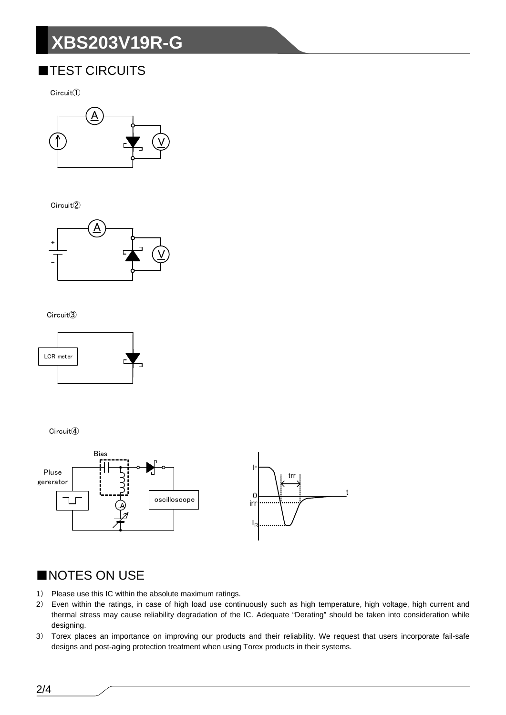## **XBS203V19R-G**

### **TEST CIRCUITS**

 $Circuit()$ 



Circuit<sup>(2)</sup>



#### Circuit<sup>3</sup>



Circuit<sup>(4)</sup>



#### NOTES ON USE

- 1) Please use this IC within the absolute maximum ratings.
- $2)$ Even within the ratings, in case of high load use continuously such as high temperature, high voltage, high current and thermal stress may cause reliability degradation of the IC. Adequate "Derating" should be taken into consideration while designing.
- 3) Torex places an importance on improving our products and their reliability. We request that users incorporate fail-safe designs and post-aging protection treatment when using Torex products in their systems.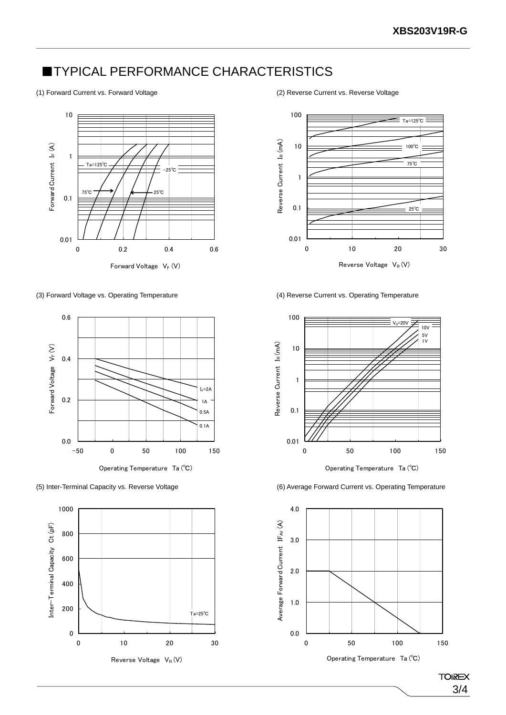### **TYPICAL PERFORMANCE CHARACTERISTICS**



(3) Forward Voltage vs. Operating Temperature (4) Reverse Current vs. Operating Temperature







Reverse Voltage  $V_R(V)$ 



Operating Temperature Ta (℃)

(5) Inter-Terminal Capacity vs. Reverse Voltage (6) Average Forward Current vs. Operating Temperature



Operating Temperature Ta (℃)

(1) Forward Current vs. Forward Voltage (2) Reverse Current vs. Reverse Voltage